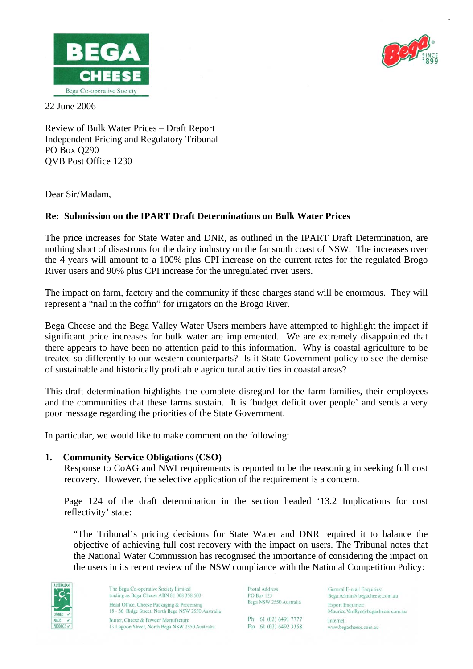



22 June 2006

Review of Bulk Water Prices – Draft Report Independent Pricing and Regulatory Tribunal PO Box Q290 QVB Post Office 1230

Dear Sir/Madam,

# **Re: Submission on the IPART Draft Determinations on Bulk Water Prices**

The price increases for State Water and DNR, as outlined in the IPART Draft Determination, are nothing short of disastrous for the dairy industry on the far south coast of NSW. The increases over the 4 years will amount to a 100% plus CPI increase on the current rates for the regulated Brogo River users and 90% plus CPI increase for the unregulated river users.

The impact on farm, factory and the community if these charges stand will be enormous. They will represent a "nail in the coffin" for irrigators on the Brogo River.

Bega Cheese and the Bega Valley Water Users members have attempted to highlight the impact if significant price increases for bulk water are implemented. We are extremely disappointed that there appears to have been no attention paid to this information. Why is coastal agriculture to be treated so differently to our western counterparts? Is it State Government policy to see the demise of sustainable and historically profitable agricultural activities in coastal areas?

This draft determination highlights the complete disregard for the farm families, their employees and the communities that these farms sustain. It is 'budget deficit over people' and sends a very poor message regarding the priorities of the State Government.

In particular, we would like to make comment on the following:

## **1. Community Service Obligations (CSO)**

 Response to CoAG and NWI requirements is reported to be the reasoning in seeking full cost recovery. However, the selective application of the requirement is a concern.

Page 124 of the draft determination in the section headed '13.2 Implications for cost reflectivity' state:

"The Tribunal's pricing decisions for State Water and DNR required it to balance the objective of achieving full cost recovery with the impact on users. The Tribunal notes that the National Water Commission has recognised the importance of considering the impact on the users in its recent review of the NSW compliance with the National Competition Policy:



The Bega Co-operative Society Limited trading as Bega Cheese ABN 81 008 358 503 Head Office, Cheese Packaging & Processi 18 - 36 Ridge Street, North Bega NSW 2550 Australia Butter, Cheese & Powder Manufacture 13 Lagoon Street, North Bega NSW 2550 Australia

Postal Address **PO Box 123** Bega NSW 2550 Australia

Ph: 61 (02) 6491 7777 Fax 61 (02) 6492 3358

General E-mail Enquiries: Bega.Admin@begacheese.com.au **Export Enquiries** Maurice.VanRyn@begacheese.com.au Internet: www.begacheese.com.au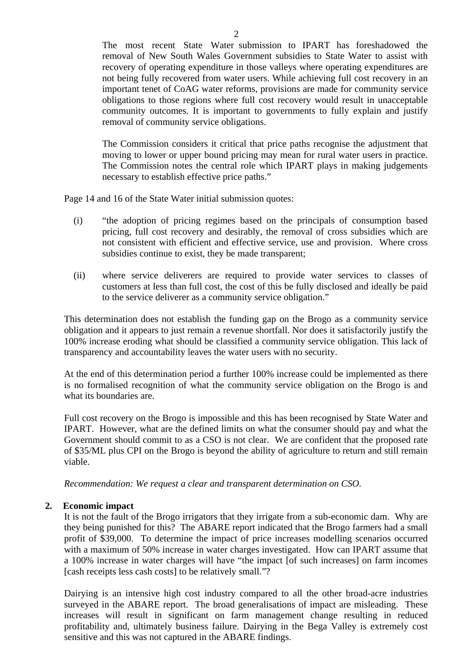The most recent State Water submission to IPART has foreshadowed the removal of New South Wales Government subsidies to State Water to assist with recovery of operating expenditure in those valleys where operating expenditures are not being fully recovered from water users. While achieving full cost recovery in an important tenet of CoAG water reforms, provisions are made for community service obligations to those regions where full cost recovery would result in unacceptable community outcomes. It is important to governments to fully explain and justify removal of community service obligations.

The Commission considers it critical that price paths recognise the adjustment that moving to lower or upper bound pricing may mean for rural water users in practice. The Commission notes the central role which IPART plays in making judgements necessary to establish effective price paths."

Page 14 and 16 of the State Water initial submission quotes:

- (i) "the adoption of pricing regimes based on the principals of consumption based pricing, full cost recovery and desirably, the removal of cross subsidies which are not consistent with efficient and effective service, use and provision. Where cross subsidies continue to exist, they be made transparent;
- (ii) where service deliverers are required to provide water services to classes of customers at less than full cost, the cost of this be fully disclosed and ideally be paid to the service deliverer as a community service obligation."

This determination does not establish the funding gap on the Brogo as a community service obligation and it appears to just remain a revenue shortfall. Nor does it satisfactorily justify the 100% increase eroding what should be classified a community service obligation. This lack of transparency and accountability leaves the water users with no security.

At the end of this determination period a further 100% increase could be implemented as there is no formalised recognition of what the community service obligation on the Brogo is and what its boundaries are.

Full cost recovery on the Brogo is impossible and this has been recognised by State Water and IPART. However, what are the defined limits on what the consumer should pay and what the Government should commit to as a CSO is not clear. We are confident that the proposed rate of \$35/ML plus CPI on the Brogo is beyond the ability of agriculture to return and still remain viable.

*Recommendation: We request a clear and transparent determination on CSO.* 

## **2. Economic impact**

It is not the fault of the Brogo irrigators that they irrigate from a sub-economic dam. Why are they being punished for this? The ABARE report indicated that the Brogo farmers had a small profit of \$39,000. To determine the impact of price increases modelling scenarios occurred with a maximum of 50% increase in water charges investigated. How can IPART assume that a 100% increase in water charges will have "the impact [of such increases] on farm incomes [cash receipts less cash costs] to be relatively small."?

Dairying is an intensive high cost industry compared to all the other broad-acre industries surveyed in the ABARE report. The broad generalisations of impact are misleading. These increases will result in significant on farm management change resulting in reduced profitability and, ultimately business failure. Dairying in the Bega Valley is extremely cost sensitive and this was not captured in the ABARE findings.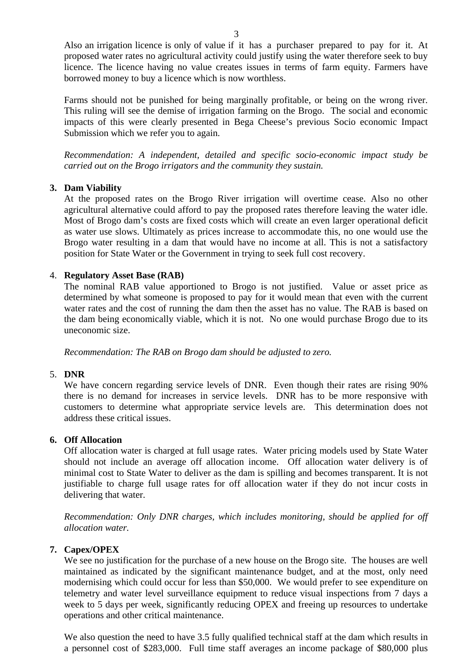Also an irrigation licence is only of value if it has a purchaser prepared to pay for it. At proposed water rates no agricultural activity could justify using the water therefore seek to buy licence. The licence having no value creates issues in terms of farm equity. Farmers have borrowed money to buy a licence which is now worthless.

Farms should not be punished for being marginally profitable, or being on the wrong river. This ruling will see the demise of irrigation farming on the Brogo. The social and economic impacts of this were clearly presented in Bega Cheese's previous Socio economic Impact Submission which we refer you to again.

*Recommendation: A independent, detailed and specific socio-economic impact study be carried out on the Brogo irrigators and the community they sustain.* 

## **3. Dam Viability**

At the proposed rates on the Brogo River irrigation will overtime cease. Also no other agricultural alternative could afford to pay the proposed rates therefore leaving the water idle. Most of Brogo dam's costs are fixed costs which will create an even larger operational deficit as water use slows. Ultimately as prices increase to accommodate this, no one would use the Brogo water resulting in a dam that would have no income at all. This is not a satisfactory position for State Water or the Government in trying to seek full cost recovery.

### 4. **Regulatory Asset Base (RAB)**

The nominal RAB value apportioned to Brogo is not justified. Value or asset price as determined by what someone is proposed to pay for it would mean that even with the current water rates and the cost of running the dam then the asset has no value. The RAB is based on the dam being economically viable, which it is not. No one would purchase Brogo due to its uneconomic size.

*Recommendation: The RAB on Brogo dam should be adjusted to zero.* 

#### 5. **DNR**

We have concern regarding service levels of DNR. Even though their rates are rising 90% there is no demand for increases in service levels. DNR has to be more responsive with customers to determine what appropriate service levels are. This determination does not address these critical issues.

### **6. Off Allocation**

Off allocation water is charged at full usage rates. Water pricing models used by State Water should not include an average off allocation income. Off allocation water delivery is of minimal cost to State Water to deliver as the dam is spilling and becomes transparent. It is not justifiable to charge full usage rates for off allocation water if they do not incur costs in delivering that water.

*Recommendation: Only DNR charges, which includes monitoring, should be applied for off allocation water.* 

#### **7. Capex/OPEX**

We see no justification for the purchase of a new house on the Brogo site. The houses are well maintained as indicated by the significant maintenance budget, and at the most, only need modernising which could occur for less than \$50,000. We would prefer to see expenditure on telemetry and water level surveillance equipment to reduce visual inspections from 7 days a week to 5 days per week, significantly reducing OPEX and freeing up resources to undertake operations and other critical maintenance.

We also question the need to have 3.5 fully qualified technical staff at the dam which results in a personnel cost of \$283,000. Full time staff averages an income package of \$80,000 plus